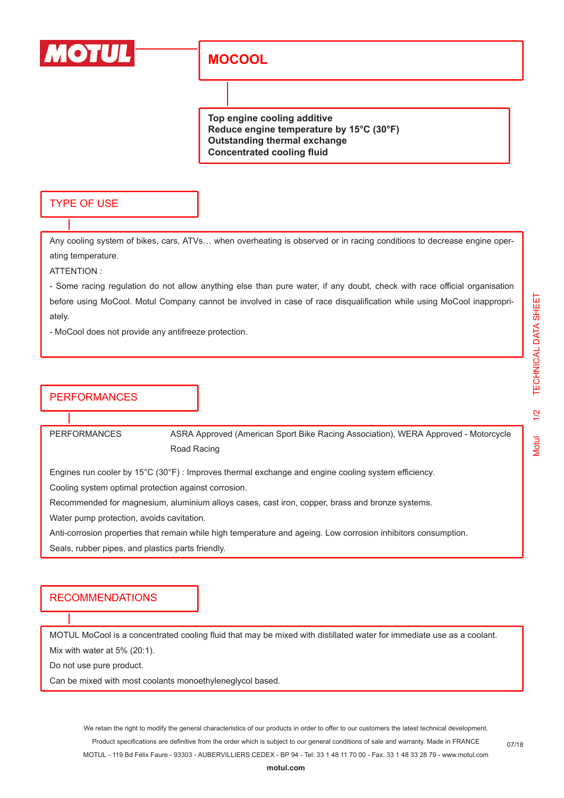

## **MOCOOL**

**Top engine cooling additive Reduce engine temperature by 15°C (30°F) Outstanding thermal exchange Concentrated cooling fluid**

#### TYPE OF USE

Any cooling system of bikes, cars, ATVs… when overheating is observed or in racing conditions to decrease engine operating temperature.

ATTENTION :

- Some racing regulation do not allow anything else than pure water, if any doubt, check with race official organisation before using MoCool. Motul Company cannot be involved in case of race disqualification while using MoCool inappropriately.

- MoCool does not provide any antifreeze protection.

#### **PERFORMANCES**

PERFORMANCES ASRA Approved (American Sport Bike Racing Association), WERA Approved - Motorcycle Road Racing

Engines run cooler by 15°C (30°F) : Improves thermal exchange and engine cooling system efficiency.

Cooling system optimal protection against corrosion.

Recommended for magnesium, aluminium alloys cases, cast iron, copper, brass and bronze systems.

Water pump protection, avoids cavitation.

Anti-corrosion properties that remain while high temperature and ageing. Low corrosion inhibitors consumption.

Seals, rubber pipes, and plastics parts friendly.

#### RECOMMENDATIONS

MOTUL MoCool is a concentrated cooling fluid that may be mixed with distillated water for immediate use as a coolant. Mix with water at 5% (20:1).

Do not use pure product.

Can be mixed with most coolants monoethyleneglycol based.

We retain the right to modify the general characteristics of our products in order to offer to our customers the latest technical development. Product specifications are definitive from the order which is subject to our general conditions of sale and warranty. Made in FRANCE MOTUL - 119 Bd Félix Faure - 93303 - AUBERVILLIERS CEDEX - BP 94 - Tel: 33 1 48 11 70 00 - Fax: 33 1 48 33 28 79 - www.motul.com